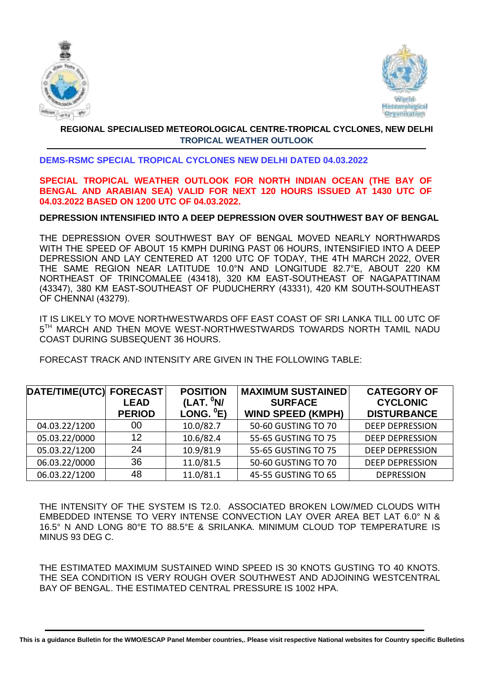



### **REGIONAL SPECIALISED METEOROLOGICAL CENTRE-TROPICAL CYCLONES, NEW DELHI TROPICAL WEATHER OUTLOOK**

#### **DEMS-RSMC SPECIAL TROPICAL CYCLONES NEW DELHI DATED 04.03.2022**

#### **SPECIAL TROPICAL WEATHER OUTLOOK FOR NORTH INDIAN OCEAN (THE BAY OF BENGAL AND ARABIAN SEA) VALID FOR NEXT 120 HOURS ISSUED AT 1430 UTC OF 04.03.2022 BASED ON 1200 UTC OF 04.03.2022.**

#### **DEPRESSION INTENSIFIED INTO A DEEP DEPRESSION OVER SOUTHWEST BAY OF BENGAL**

THE DEPRESSION OVER SOUTHWEST BAY OF BENGAL MOVED NEARLY NORTHWARDS WITH THE SPEED OF ABOUT 15 KMPH DURING PAST 06 HOURS, INTENSIFIED INTO A DEEP DEPRESSION AND LAY CENTERED AT 1200 UTC OF TODAY, THE 4TH MARCH 2022, OVER THE SAME REGION NEAR LATITUDE 10.0°N AND LONGITUDE 82.7°E, ABOUT 220 KM NORTHEAST OF TRINCOMALEE (43418), 320 KM EAST-SOUTHEAST OF NAGAPATTINAM (43347), 380 KM EAST-SOUTHEAST OF PUDUCHERRY (43331), 420 KM SOUTH-SOUTHEAST OF CHENNAI (43279).

IT IS LIKELY TO MOVE NORTHWESTWARDS OFF EAST COAST OF SRI LANKA TILL 00 UTC OF 5<sup>TH</sup> MARCH AND THEN MOVE WEST-NORTHWESTWARDS TOWARDS NORTH TAMIL NADU COAST DURING SUBSEQUENT 36 HOURS.

FORECAST TRACK AND INTENSITY ARE GIVEN IN THE FOLLOWING TABLE:

| DATE/TIME(UTC) FORECAST | <b>LEAD</b><br><b>PERIOD</b> | <b>POSITION</b><br>(LAT. <sup>0</sup> N/<br>LONG. $^0E$ ) | <b>MAXIMUM SUSTAINED</b><br><b>SURFACE</b><br><b>WIND SPEED (KMPH)</b> | <b>CATEGORY OF</b><br><b>CYCLONIC</b><br><b>DISTURBANCE</b> |
|-------------------------|------------------------------|-----------------------------------------------------------|------------------------------------------------------------------------|-------------------------------------------------------------|
| 04.03.22/1200           | 00                           | 10.0/82.7                                                 | 50-60 GUSTING TO 70                                                    | <b>DEEP DEPRESSION</b>                                      |
| 05.03.22/0000           | 12                           | 10.6/82.4                                                 | 55-65 GUSTING TO 75                                                    | <b>DEEP DEPRESSION</b>                                      |
| 05.03.22/1200           | 24                           | 10.9/81.9                                                 | 55-65 GUSTING TO 75                                                    | <b>DEEP DEPRESSION</b>                                      |
| 06.03.22/0000           | 36                           | 11.0/81.5                                                 | 50-60 GUSTING TO 70                                                    | <b>DEEP DEPRESSION</b>                                      |
| 06.03.22/1200           | 48                           | 11.0/81.1                                                 | 45-55 GUSTING TO 65                                                    | <b>DEPRESSION</b>                                           |

THE INTENSITY OF THE SYSTEM IS T2.0. ASSOCIATED BROKEN LOW/MED CLOUDS WITH EMBEDDED INTENSE TO VERY INTENSE CONVECTION LAY OVER AREA BET LAT 6.0° N & 16.5° N AND LONG 80°E TO 88.5°E & SRILANKA. MINIMUM CLOUD TOP TEMPERATURE IS MINUS 93 DEG C.

THE ESTIMATED MAXIMUM SUSTAINED WIND SPEED IS 30 KNOTS GUSTING TO 40 KNOTS. THE SEA CONDITION IS VERY ROUGH OVER SOUTHWEST AND ADJOINING WESTCENTRAL BAY OF BENGAL. THE ESTIMATED CENTRAL PRESSURE IS 1002 HPA.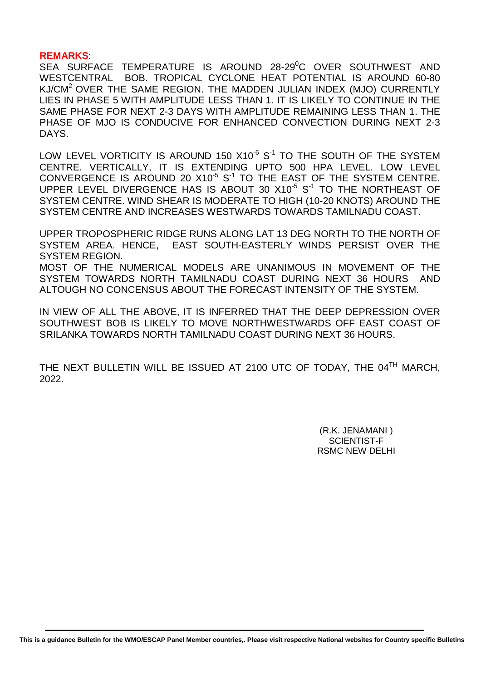#### **REMARKS**:

SEA SURFACE TEMPERATURE IS AROUND 28-29<sup>0</sup>C OVER SOUTHWEST AND WESTCENTRAL BOB. TROPICAL CYCLONE HEAT POTENTIAL IS AROUND 60-80 KJ/CM<sup>2</sup> OVER THE SAME REGION. THE MADDEN JULIAN INDEX (MJO) CURRENTLY LIES IN PHASE 5 WITH AMPLITUDE LESS THAN 1. IT IS LIKELY TO CONTINUE IN THE SAME PHASE FOR NEXT 2-3 DAYS WITH AMPLITUDE REMAINING LESS THAN 1. THE PHASE OF MJO IS CONDUCIVE FOR ENHANCED CONVECTION DURING NEXT 2-3 DAYS.

LOW LEVEL VORTICITY IS AROUND 150  $\times$ 10<sup>-6</sup> S<sup>-1</sup> to the South of the System CENTRE. VERTICALLY, IT IS EXTENDING UPTO 500 HPA LEVEL. LOW LEVEL CONVERGENCE IS AROUND 20  $X10^{-5}$  S<sup>-1</sup> TO THE EAST OF THE SYSTEM CENTRE. UPPER LEVEL DIVERGENCE HAS IS ABOUT 30  $X10^{-5}$   $S^{-1}$  TO THE NORTHEAST OF SYSTEM CENTRE. WIND SHEAR IS MODERATE TO HIGH (10-20 KNOTS) AROUND THE SYSTEM CENTRE AND INCREASES WESTWARDS TOWARDS TAMILNADU COAST.

UPPER TROPOSPHERIC RIDGE RUNS ALONG LAT 13 DEG NORTH TO THE NORTH OF SYSTEM AREA. HENCE, EAST SOUTH-EASTERLY WINDS PERSIST OVER THE SYSTEM REGION.

MOST OF THE NUMERICAL MODELS ARE UNANIMOUS IN MOVEMENT OF THE SYSTEM TOWARDS NORTH TAMILNADU COAST DURING NEXT 36 HOURS AND ALTOUGH NO CONCENSUS ABOUT THE FORECAST INTENSITY OF THE SYSTEM.

IN VIEW OF ALL THE ABOVE, IT IS INFERRED THAT THE DEEP DEPRESSION OVER SOUTHWEST BOB IS LIKELY TO MOVE NORTHWESTWARDS OFF EAST COAST OF SRILANKA TOWARDS NORTH TAMILNADU COAST DURING NEXT 36 HOURS.

THE NEXT BULLETIN WILL BE ISSUED AT 2100 UTC OF TODAY, THE 04<sup>TH</sup> MARCH, 2022.

> (R.K. JENAMANI ) SCIENTIST-F RSMC NEW DELHI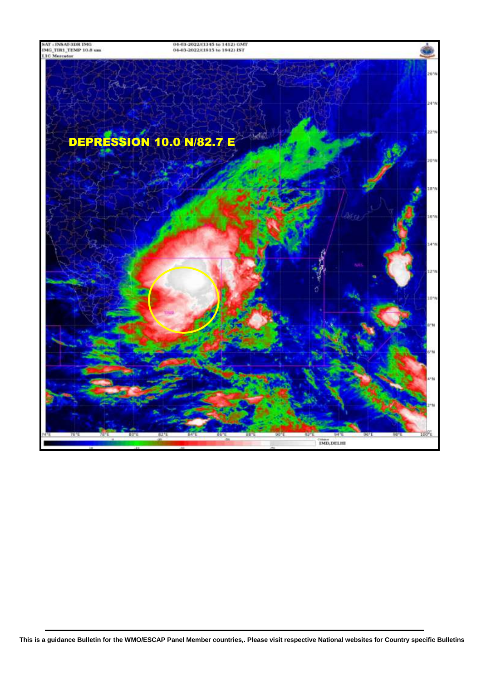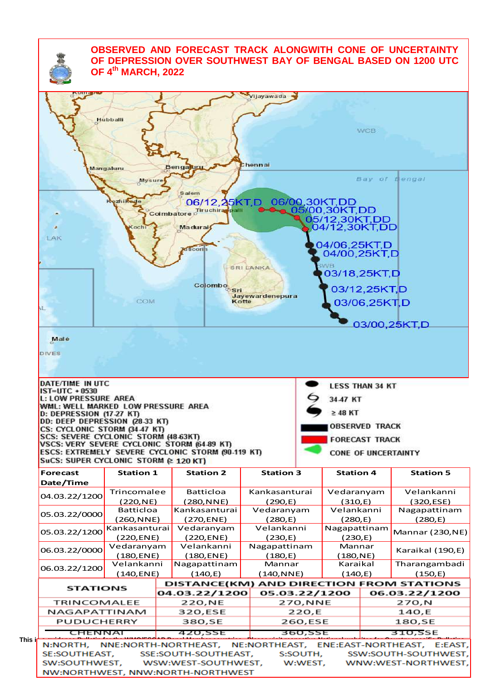## **OBSERVED AND FORECAST TRACK ALONGWITH CONE OF UNCERTAINTY OF DEPRESSION OVER SOUTHWEST BAY OF BENGAL BASED ON 1200 UTC OF 4 th MARCH, 2022**

|                                                                                                                                                                                                                                                                                                 |                      |                      |                  | Vijayawada                 |          |                                |                       |                                                           |  |
|-------------------------------------------------------------------------------------------------------------------------------------------------------------------------------------------------------------------------------------------------------------------------------------------------|----------------------|----------------------|------------------|----------------------------|----------|--------------------------------|-----------------------|-----------------------------------------------------------|--|
|                                                                                                                                                                                                                                                                                                 |                      |                      |                  |                            |          |                                |                       |                                                           |  |
|                                                                                                                                                                                                                                                                                                 | Hubballi             |                      |                  |                            |          |                                |                       |                                                           |  |
|                                                                                                                                                                                                                                                                                                 |                      |                      |                  |                            |          |                                | <b>WCB</b>            |                                                           |  |
|                                                                                                                                                                                                                                                                                                 |                      |                      |                  |                            |          |                                |                       |                                                           |  |
|                                                                                                                                                                                                                                                                                                 |                      |                      |                  |                            |          |                                |                       |                                                           |  |
|                                                                                                                                                                                                                                                                                                 |                      |                      |                  | hennai                     |          |                                |                       |                                                           |  |
|                                                                                                                                                                                                                                                                                                 | Mangaluru            | Bengaluru            |                  |                            |          |                                |                       |                                                           |  |
|                                                                                                                                                                                                                                                                                                 | <b>Mysure</b>        |                      |                  |                            |          |                                |                       | Bay of Bengal                                             |  |
|                                                                                                                                                                                                                                                                                                 |                      | <b>Salem</b>         |                  |                            |          |                                |                       |                                                           |  |
|                                                                                                                                                                                                                                                                                                 | zhik<br><b>Sege</b>  |                      |                  | 06/12.25KT,D 06/00,30KT,DD |          |                                |                       |                                                           |  |
|                                                                                                                                                                                                                                                                                                 |                      | Coimbatore           | Tiruchirag palli |                            |          | $_{\bullet}$ 05/00,30KT,DD     |                       |                                                           |  |
|                                                                                                                                                                                                                                                                                                 |                      |                      |                  |                            |          | 05/12,30KT,DD<br>04/12,30KT,DD |                       |                                                           |  |
|                                                                                                                                                                                                                                                                                                 | Koch                 | Madurai              |                  |                            |          |                                |                       |                                                           |  |
| LAK                                                                                                                                                                                                                                                                                             |                      |                      |                  |                            |          | 04/06,25KT,D                   |                       |                                                           |  |
|                                                                                                                                                                                                                                                                                                 |                      | ducorin              |                  |                            |          | 04/00,25KT,D                   |                       |                                                           |  |
|                                                                                                                                                                                                                                                                                                 |                      |                      |                  |                            |          | <b>SWB</b>                     |                       |                                                           |  |
|                                                                                                                                                                                                                                                                                                 |                      |                      |                  | <b>SRI LANKA</b>           |          | 03/18,25KT,D                   |                       |                                                           |  |
|                                                                                                                                                                                                                                                                                                 |                      |                      | Colombo          |                            |          |                                |                       |                                                           |  |
|                                                                                                                                                                                                                                                                                                 |                      |                      | Sri              | Jayewardenepura            |          |                                | 03/12,25KT,D          |                                                           |  |
|                                                                                                                                                                                                                                                                                                 | COM                  |                      |                  | Kotte                      |          |                                | 03/06,25KTD           |                                                           |  |
|                                                                                                                                                                                                                                                                                                 |                      |                      |                  |                            |          |                                |                       |                                                           |  |
|                                                                                                                                                                                                                                                                                                 |                      |                      |                  |                            |          |                                |                       | 03/00,25KT,D                                              |  |
|                                                                                                                                                                                                                                                                                                 |                      |                      |                  |                            |          |                                |                       |                                                           |  |
| Male                                                                                                                                                                                                                                                                                            |                      |                      |                  |                            |          |                                |                       |                                                           |  |
|                                                                                                                                                                                                                                                                                                 |                      |                      |                  |                            |          |                                |                       |                                                           |  |
| DIVES                                                                                                                                                                                                                                                                                           |                      |                      |                  |                            |          |                                |                       |                                                           |  |
|                                                                                                                                                                                                                                                                                                 |                      |                      |                  |                            |          |                                |                       |                                                           |  |
|                                                                                                                                                                                                                                                                                                 |                      |                      |                  |                            |          |                                |                       |                                                           |  |
|                                                                                                                                                                                                                                                                                                 |                      |                      |                  |                            |          | <b>LESS THAN 34 KT</b>         |                       |                                                           |  |
|                                                                                                                                                                                                                                                                                                 |                      |                      |                  |                            |          |                                |                       |                                                           |  |
|                                                                                                                                                                                                                                                                                                 |                      |                      |                  |                            |          | 34.47 KT                       |                       |                                                           |  |
|                                                                                                                                                                                                                                                                                                 |                      |                      |                  |                            |          | $\geq 48$ KT                   |                       |                                                           |  |
|                                                                                                                                                                                                                                                                                                 |                      |                      |                  |                            |          |                                | <b>OBSERVED TRACK</b> |                                                           |  |
|                                                                                                                                                                                                                                                                                                 |                      |                      |                  |                            |          |                                |                       |                                                           |  |
| DATE/TIME IN UTC<br>$IST=UTC + 0530$<br><b>L: LOW PRESSURE AREA</b><br>WML: WELL MARKED LOW PRESSURE AREA<br>D: DEPRESSION (17-27 KT)<br>DD: DEEP DEPRESSION (28-33 KT)<br>CS: CYCLONIC STORM (34.47 KT)<br>SCS: SEVERE CYCLONIC STORM (48-63KT)<br>VSCS: VERY SEVERE CYCLONIC STORM (64-89 KT) |                      |                      |                  |                            |          |                                | <b>FORECAST TRACK</b> |                                                           |  |
| ESCS: EXTREMELY SEVERE CYCLONIC STORM (90-119 KT)                                                                                                                                                                                                                                               |                      |                      |                  |                            |          |                                | CONE OF UNCERTAINTY   |                                                           |  |
| SuCS: SUPER CYCLONIC STORM (2 120 KT)<br><b>Forecast</b>                                                                                                                                                                                                                                        | <b>Station 1</b>     |                      | <b>Station 2</b> | <b>Station 3</b>           |          | <b>Station 4</b>               |                       | <b>Station 5</b>                                          |  |
|                                                                                                                                                                                                                                                                                                 |                      |                      |                  |                            |          |                                |                       |                                                           |  |
|                                                                                                                                                                                                                                                                                                 | Trincomalee          |                      | Batticloa        | Kankasanturai              |          | Vedaranyam                     |                       | Velankanni                                                |  |
|                                                                                                                                                                                                                                                                                                 | (220, NE)            |                      | (280,NNE)        | (290,E)                    |          | (310,E)                        |                       | (320, ESE)                                                |  |
|                                                                                                                                                                                                                                                                                                 | <b>Batticloa</b>     |                      | Kankasanturai    | Vedaranyam                 |          | Velankanni                     |                       | Nagapattinam                                              |  |
| Date/Time<br>04.03.22/1200<br>05.03.22/0000                                                                                                                                                                                                                                                     | (260,NNE)            |                      | (270, ENE)       | (280, E)                   |          | (280,E)                        |                       | (280, E)                                                  |  |
| 05.03.22/1200                                                                                                                                                                                                                                                                                   | Kankasanturai        |                      | Vedaranyam       | Velankanni                 |          | Nagapattinam                   |                       | <b>Mannar (230, NE)</b>                                   |  |
|                                                                                                                                                                                                                                                                                                 | (220, ENE)           |                      | (220, ENE)       | (230,E)                    |          | (230,E)                        |                       |                                                           |  |
| 06.03.22/0000                                                                                                                                                                                                                                                                                   | Vedaranyam           |                      | Velankanni       | Nagapattinam               |          | Mannar                         |                       | Karaikal (190,E)                                          |  |
|                                                                                                                                                                                                                                                                                                 | (180, ENE)           |                      | (180, ENE)       | (180, E)                   |          | (180, NE)                      |                       |                                                           |  |
| 06.03.22/1200                                                                                                                                                                                                                                                                                   | Velankanni           |                      | Nagapattinam     | Mannar                     |          | Karaikal                       |                       | Tharangambadi                                             |  |
|                                                                                                                                                                                                                                                                                                 | $(140,$ ENE)         |                      | (140,E)          | (140, NNE)                 |          | (140,E)                        |                       | (150,E)                                                   |  |
| <b>STATIONS</b>                                                                                                                                                                                                                                                                                 |                      | 04.03.22/1200        |                  | 05.03.22/1200              |          |                                |                       | DISTANCE(KM) AND DIRECTION FROM STATIONS<br>06.03.22/1200 |  |
| <b>TRINCOMALEE</b>                                                                                                                                                                                                                                                                              |                      |                      | 220,NE           |                            | 270, NNE |                                |                       | 270,N                                                     |  |
| NAGAPATTINAM                                                                                                                                                                                                                                                                                    |                      | 320,ESE              |                  |                            | 220,E    |                                |                       | 140,E                                                     |  |
| PUDUCHERRY                                                                                                                                                                                                                                                                                      |                      |                      | 380,SE           |                            | 260,ESE  |                                |                       | 180,SE                                                    |  |
| CHENNAI                                                                                                                                                                                                                                                                                         |                      | 420,55E              |                  |                            | 360,SSE  |                                |                       | 310,SSE                                                   |  |
| N:NORTH,                                                                                                                                                                                                                                                                                        | NNE:NORTH-NORTHEAST, |                      |                  |                            |          |                                |                       | NE:NORTHEAST, ENE:EAST-NORTHEAST, E:EAST,                 |  |
| SE:SOUTHEAST,                                                                                                                                                                                                                                                                                   |                      | SSE:SOUTH-SOUTHEAST, |                  |                            | S:SOUTH, |                                |                       | SSW:SOUTH-SOUTHWEST,                                      |  |
| SW:SOUTHWEST,                                                                                                                                                                                                                                                                                   |                      | WSW:WEST-SOUTHWEST,  |                  |                            | W:WEST,  |                                |                       | WNW:WEST-NORTHWEST,                                       |  |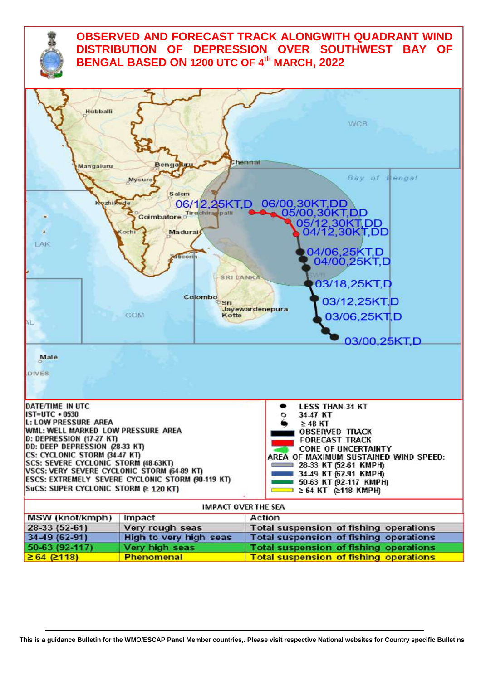

# **OBSERVED AND FORECAST TRACK ALONGWITH QUADRANT WIND DISTRIBUTION OF DEPRESSION OVER SOUTHWEST BAY OF BENGAL BASED ON 1200 UTC OF 4 th MARCH, 2022**

| <b>Hubballi</b><br>Mangaluru                                                                                                                                                                                                                                                                                                            | <b>Bengakin</b>                                                                                                                                                             | <b>WCB</b><br>hennai:                                                                                                                                                                                                                                                                                                 |  |  |  |  |
|-----------------------------------------------------------------------------------------------------------------------------------------------------------------------------------------------------------------------------------------------------------------------------------------------------------------------------------------|-----------------------------------------------------------------------------------------------------------------------------------------------------------------------------|-----------------------------------------------------------------------------------------------------------------------------------------------------------------------------------------------------------------------------------------------------------------------------------------------------------------------|--|--|--|--|
| zhikede<br>LAK<br>AL.                                                                                                                                                                                                                                                                                                                   | <b>Mysure</b><br><b>Salem</b><br>06/12,25KT.D<br>Tiruchiran palli<br>Coimbatore<br>Madurai<br>Coch<br><b>Mitcorin</b><br><b>SRI LANKA</b><br>Colombo<br>Sri<br>COM<br>Kotte | Bay of Bengal<br>06/00,30KT,DD<br>05/00,30KT,DD<br>05/12,30KT,DD<br>04/12,30KT,DD<br>04/06,25KT,D<br>04/00,25KT,D<br>03/18,25KT,D<br>03/12,25KT,D<br>Jayewardenepura<br>03/06,25KT,D<br>03/00,25KT,D                                                                                                                  |  |  |  |  |
| Male<br>DIVES                                                                                                                                                                                                                                                                                                                           |                                                                                                                                                                             |                                                                                                                                                                                                                                                                                                                       |  |  |  |  |
| DATE/TIME IN UTC<br>$IST=UTC + 0530$<br><b>L: LOW PRESSURE AREA</b><br>WML: WELL MARKED LOW PRESSURE AREA<br>D: DEPRESSION (17-27 KT)<br>DD: DEEP DEPRESSION (28-33 KT)<br>CS: CYCLONIC STORM (34.47 KT)<br>SCS: SEVERE CYCLONIC STORM (48-63KT)<br>VSCS: VERY SEVERE CYCLONIC STORM (64 89 KT)<br>SuCS: SUPER CYCLONIC STORM @ 120 KT) | ESCS: EXTREMELY SEVERE CYCLONIC STORM (90-119 KT)                                                                                                                           | <b>LESS THAN 34 KT</b><br>34.47 KT<br>$\geq$ 48 KT<br><b>OBSERVED TRACK</b><br><b>FORECAST TRACK</b><br>CONE OF UNCERTAINTY<br>AREA OF MAXIMUM SUSTAINED WIND SPEED:<br>28-33 KT (52-61 KMPH)<br><b>Manufacturer 34.49 KT (62.91 KMPH)</b><br>50-63 KT (92-117 KMPH)<br>$\approx$ $\approx$ 64 KT $\approx$ 118 KMPH) |  |  |  |  |
| <b>IMPACT OVER THE SEA</b>                                                                                                                                                                                                                                                                                                              |                                                                                                                                                                             |                                                                                                                                                                                                                                                                                                                       |  |  |  |  |
| <b>MSW</b> (knot/kmph)                                                                                                                                                                                                                                                                                                                  | Impact                                                                                                                                                                      | <b>Action</b>                                                                                                                                                                                                                                                                                                         |  |  |  |  |
| 28-33 (52-61)                                                                                                                                                                                                                                                                                                                           | Very rough seas                                                                                                                                                             | <b>Total suspension of fishing operations</b>                                                                                                                                                                                                                                                                         |  |  |  |  |
| 34-49 (62-91)                                                                                                                                                                                                                                                                                                                           | <b>High to very high seas</b>                                                                                                                                               | <b>Total suspension of fishing operations</b>                                                                                                                                                                                                                                                                         |  |  |  |  |
| 50-63 (92-117)                                                                                                                                                                                                                                                                                                                          | Very high seas                                                                                                                                                              | <b>Total suspension of fishing operations</b>                                                                                                                                                                                                                                                                         |  |  |  |  |
| $\geq 64$ ( $\geq 118$ )                                                                                                                                                                                                                                                                                                                | <b>Phenomenal</b>                                                                                                                                                           | <b>Total suspension of fishing operations</b>                                                                                                                                                                                                                                                                         |  |  |  |  |